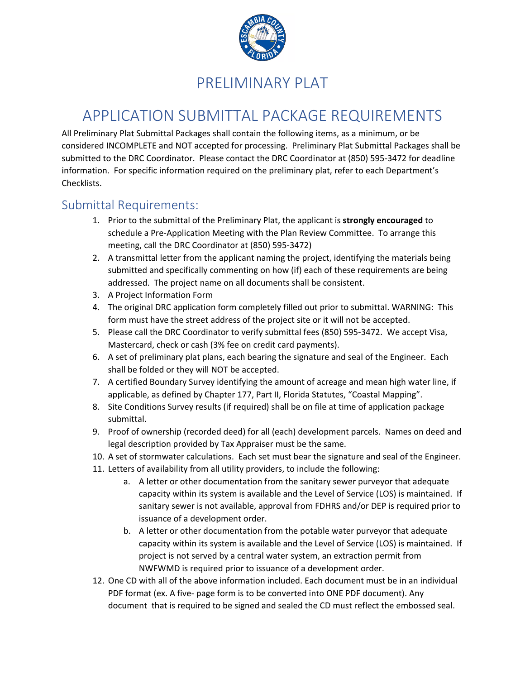

# PRELIMINARY PLAT

# APPLICATION SUBMITTAL PACKAGE REQUIREMENTS

All Preliminary Plat Submittal Packages shall contain the following items, as a minimum, or be considered INCOMPLETE and NOT accepted for processing. Preliminary Plat Submittal Packages shall be submitted to the DRC Coordinator. Please contact the DRC Coordinator at (850) 595-3472 for deadline information. For specific information required on the preliminary plat, refer to each Department's Checklists.

### Submittal Requirements:

- 1. Prior to the submittal of the Preliminary Plat, the applicant is **strongly encouraged** to schedule a Pre-Application Meeting with the Plan Review Committee. To arrange this meeting, call the DRC Coordinator at (850) 595-3472)
- 2. A transmittal letter from the applicant naming the project, identifying the materials being submitted and specifically commenting on how (if) each of these requirements are being addressed. The project name on all documents shall be consistent.
- 3. A Project Information Form
- 4. The original DRC application form completely filled out prior to submittal. WARNING: This form must have the street address of the project site or it will not be accepted.
- 5. Please call the DRC Coordinator to verify submittal fees (850) 595-3472. We accept Visa, Mastercard, check or cash (3% fee on credit card payments).
- 6. A set of preliminary plat plans, each bearing the signature and seal of the Engineer. Each shall be folded or they will NOT be accepted.
- 7. A certified Boundary Survey identifying the amount of acreage and mean high water line, if applicable, as defined by Chapter 177, Part II, Florida Statutes, "Coastal Mapping".
- 8. Site Conditions Survey results (if required) shall be on file at time of application package submittal.
- 9. Proof of ownership (recorded deed) for all (each) development parcels. Names on deed and legal description provided by Tax Appraiser must be the same.
- 10. A set of stormwater calculations. Each set must bear the signature and seal of the Engineer.
- 11. Letters of availability from all utility providers, to include the following:
	- a. A letter or other documentation from the sanitary sewer purveyor that adequate capacity within its system is available and the Level of Service (LOS) is maintained. If sanitary sewer is not available, approval from FDHRS and/or DEP is required prior to issuance of a development order.
	- b. A letter or other documentation from the potable water purveyor that adequate capacity within its system is available and the Level of Service (LOS) is maintained. If project is not served by a central water system, an extraction permit from NWFWMD is required prior to issuance of a development order.
- 12. One CD with all of the above information included. Each document must be in an individual PDF format (ex. A five- page form is to be converted into ONE PDF document). Any document that is required to be signed and sealed the CD must reflect the embossed seal.